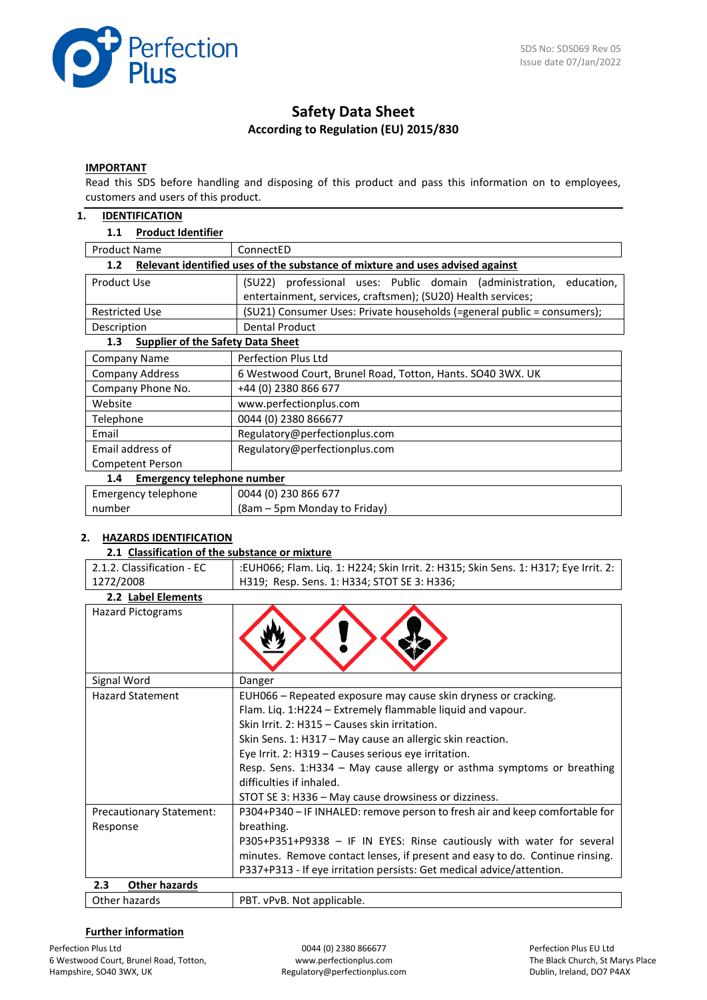

# **Safety Data Sheet According to Regulation (EU) 2015/830**

# **IMPORTANT**

Read this SDS before handling and disposing of this product and pass this information on to employees, customers and users of this product.

#### **1. IDENTIFICATION**

#### **1.1 Product Identifier**

| <b>Product Name</b>                                                                  | ConnectED                                                               |  |  |  |  |
|--------------------------------------------------------------------------------------|-------------------------------------------------------------------------|--|--|--|--|
| Relevant identified uses of the substance of mixture and uses advised against<br>1.2 |                                                                         |  |  |  |  |
| Product Use                                                                          | (SU22) professional uses: Public domain (administration,<br>education,  |  |  |  |  |
|                                                                                      | entertainment, services, craftsmen); (SU20) Health services;            |  |  |  |  |
| <b>Restricted Use</b>                                                                | (SU21) Consumer Uses: Private households (=general public = consumers); |  |  |  |  |
| Description                                                                          | <b>Dental Product</b>                                                   |  |  |  |  |
| <b>Supplier of the Safety Data Sheet</b><br>1.3                                      |                                                                         |  |  |  |  |
| Company Name                                                                         | Perfection Plus Ltd                                                     |  |  |  |  |
| <b>Company Address</b>                                                               | 6 Westwood Court, Brunel Road, Totton, Hants. SO40 3WX. UK              |  |  |  |  |
| Company Phone No.                                                                    | +44 (0) 2380 866 677                                                    |  |  |  |  |
| Website                                                                              | www.perfectionplus.com                                                  |  |  |  |  |
| Telephone                                                                            | 0044 (0) 2380 866677                                                    |  |  |  |  |
| Email                                                                                | Regulatory@perfectionplus.com                                           |  |  |  |  |
| Email address of                                                                     | Regulatory@perfectionplus.com                                           |  |  |  |  |
| <b>Competent Person</b>                                                              |                                                                         |  |  |  |  |
| <b>Emergency telephone number</b><br>1.4                                             |                                                                         |  |  |  |  |
| Emergency telephone                                                                  | 0044 (0) 230 866 677                                                    |  |  |  |  |
| number                                                                               | (8am – 5pm Monday to Friday)                                            |  |  |  |  |

# **2. HAZARDS IDENTIFICATION**

#### **2.1 Classification of the substance or mixture**

| 2.1.2. Classification - EC      | :EUH066; Flam. Liq. 1: H224; Skin Irrit. 2: H315; Skin Sens. 1: H317; Eye Irrit. 2: |
|---------------------------------|-------------------------------------------------------------------------------------|
| 1272/2008                       | H319; Resp. Sens. 1: H334; STOT SE 3: H336;                                         |
|                                 |                                                                                     |
| 2.2 Label Elements              |                                                                                     |
| <b>Hazard Pictograms</b>        |                                                                                     |
|                                 |                                                                                     |
|                                 |                                                                                     |
|                                 |                                                                                     |
|                                 |                                                                                     |
| Signal Word                     | Danger                                                                              |
| <b>Hazard Statement</b>         | EUH066 - Repeated exposure may cause skin dryness or cracking.                      |
|                                 | Flam. Liq. 1:H224 – Extremely flammable liquid and vapour.                          |
|                                 | Skin Irrit. 2: H315 - Causes skin irritation.                                       |
|                                 | Skin Sens. 1: H317 - May cause an allergic skin reaction.                           |
|                                 | Eye Irrit. 2: H319 - Causes serious eye irritation.                                 |
|                                 | Resp. Sens. 1:H334 - May cause allergy or asthma symptoms or breathing              |
|                                 | difficulties if inhaled.                                                            |
|                                 | STOT SE 3: H336 - May cause drowsiness or dizziness.                                |
| <b>Precautionary Statement:</b> | P304+P340 - IF INHALED: remove person to fresh air and keep comfortable for         |
| Response                        | breathing.                                                                          |
|                                 | P305+P351+P9338 - IF IN EYES: Rinse cautiously with water for several               |
|                                 | minutes. Remove contact lenses, if present and easy to do. Continue rinsing.        |
|                                 | P337+P313 - If eye irritation persists: Get medical advice/attention.               |
| <b>Other hazards</b><br>2.3     |                                                                                     |
| Other hazards                   | PBT. vPvB. Not applicable.                                                          |

#### **Further information**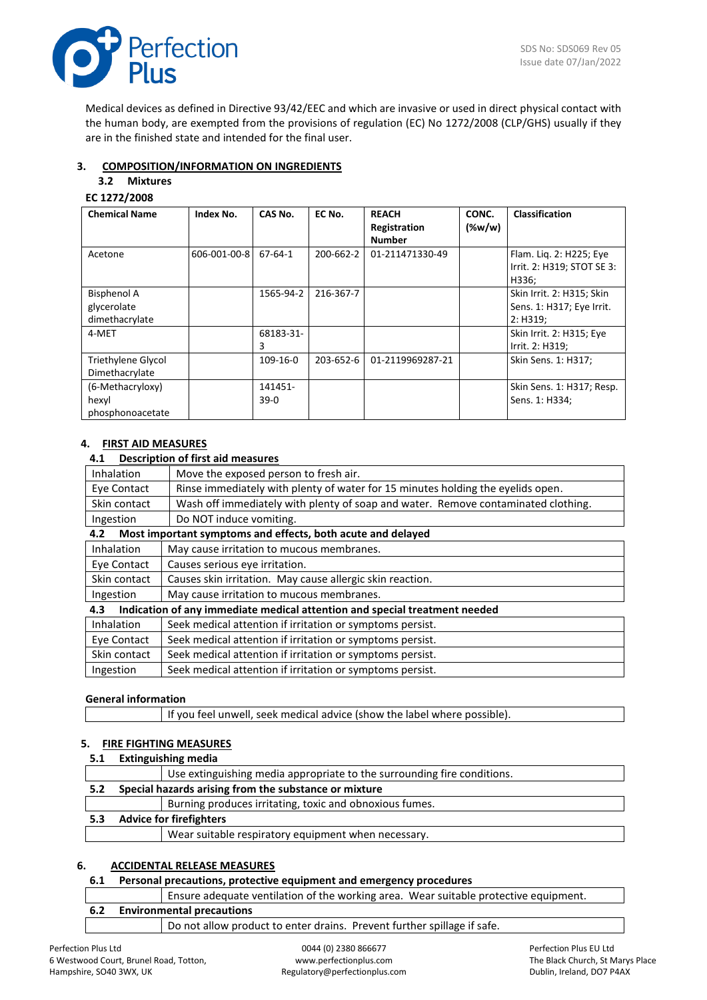

Medical devices as defined in Directive 93/42/EEC and which are invasive or used in direct physical contact with the human body, are exempted from the provisions of regulation (EC) No 1272/2008 (CLP/GHS) usually if they are in the finished state and intended for the final user.

# **3. COMPOSITION/INFORMATION ON INGREDIENTS**

# **3.2 Mixtures**

# **EC 1272/2008**

| <b>Chemical Name</b>                                | Index No.    | CAS No.           | EC No.    | <b>REACH</b><br>Registration<br><b>Number</b> | CONC.<br>$(\%w/w)$ | Classification                                                     |
|-----------------------------------------------------|--------------|-------------------|-----------|-----------------------------------------------|--------------------|--------------------------------------------------------------------|
| Acetone                                             | 606-001-00-8 | 67-64-1           | 200-662-2 | 01-211471330-49                               |                    | Flam. Lig. 2: H225; Eye<br>Irrit. 2: H319; STOT SE 3:<br>H336;     |
| <b>Bisphenol A</b><br>glycerolate<br>dimethacrylate |              | 1565-94-2         | 216-367-7 |                                               |                    | Skin Irrit. 2: H315; Skin<br>Sens. 1: H317; Eye Irrit.<br>2: H319: |
| 4-MET                                               |              | 68183-31-<br>3    |           |                                               |                    | Skin Irrit. 2: H315; Eye<br>Irrit. 2: H319;                        |
| Triethylene Glycol<br>Dimethacrylate                |              | 109-16-0          | 203-652-6 | 01-2119969287-21                              |                    | Skin Sens. 1: H317;                                                |
| (6-Methacryloxy)<br>hexyl<br>phosphonoacetate       |              | 141451-<br>$39-0$ |           |                                               |                    | Skin Sens. 1: H317; Resp.<br>Sens. 1: H334;                        |

# **4. FIRST AID MEASURES**

#### **4.1 Description of first aid measures**

| <b>Inhalation</b>                                      | Move the exposed person to fresh air.                                             |
|--------------------------------------------------------|-----------------------------------------------------------------------------------|
| Eye Contact                                            | Rinse immediately with plenty of water for 15 minutes holding the eyelids open.   |
| Skin contact                                           | Wash off immediately with plenty of soap and water. Remove contaminated clothing. |
| Ingestion                                              | Do NOT induce vomiting.                                                           |
| 4.2                                                    | Most important symptoms and effects, both acute and delayed                       |
| <b>Inhalation</b>                                      | May cause irritation to mucous membranes.                                         |
| Eye Contact                                            | Causes serious eye irritation.                                                    |
| Skin contact                                           | Causes skin irritation. May cause allergic skin reaction.                         |
| May cause irritation to mucous membranes.<br>Ingestion |                                                                                   |
| 4.3                                                    | Indication of any immediate medical attention and special treatment needed        |
| <b>Inhalation</b>                                      | Seek medical attention if irritation or symptoms persist.                         |
| Eye Contact                                            | Seek medical attention if irritation or symptoms persist.                         |
| Skin contact                                           | Seek medical attention if irritation or symptoms persist.                         |
| Ingestion                                              | Seek medical attention if irritation or symptoms persist.                         |

#### **General information**

| I If you feel unwell, seek medical advice (show the label where possible). |  |
|----------------------------------------------------------------------------|--|
|                                                                            |  |

# **5. FIRE FIGHTING MEASURES**

# **5.1 Extinguishing media**

|     | Use extinguishing media appropriate to the surrounding fire conditions. |
|-----|-------------------------------------------------------------------------|
| 5.2 | Special hazards arising from the substance or mixture                   |
|     | Burning produces irritating, toxic and obnoxious fumes.                 |
| 5.3 | <b>Advice for firefighters</b>                                          |
|     | Wear suitable respiratory equipment when necessary.                     |

# **6. ACCIDENTAL RELEASE MEASURES**

#### **6.1 Personal precautions, protective equipment and emergency procedures**

|     |                                  | Ensure adequate ventilation of the working area. Wear suitable protective equipment. |  |  |
|-----|----------------------------------|--------------------------------------------------------------------------------------|--|--|
| 6.2 | <b>Environmental precautions</b> |                                                                                      |  |  |
|     |                                  | Do not allow product to enter drains. Prevent further spillage if safe.              |  |  |
|     |                                  |                                                                                      |  |  |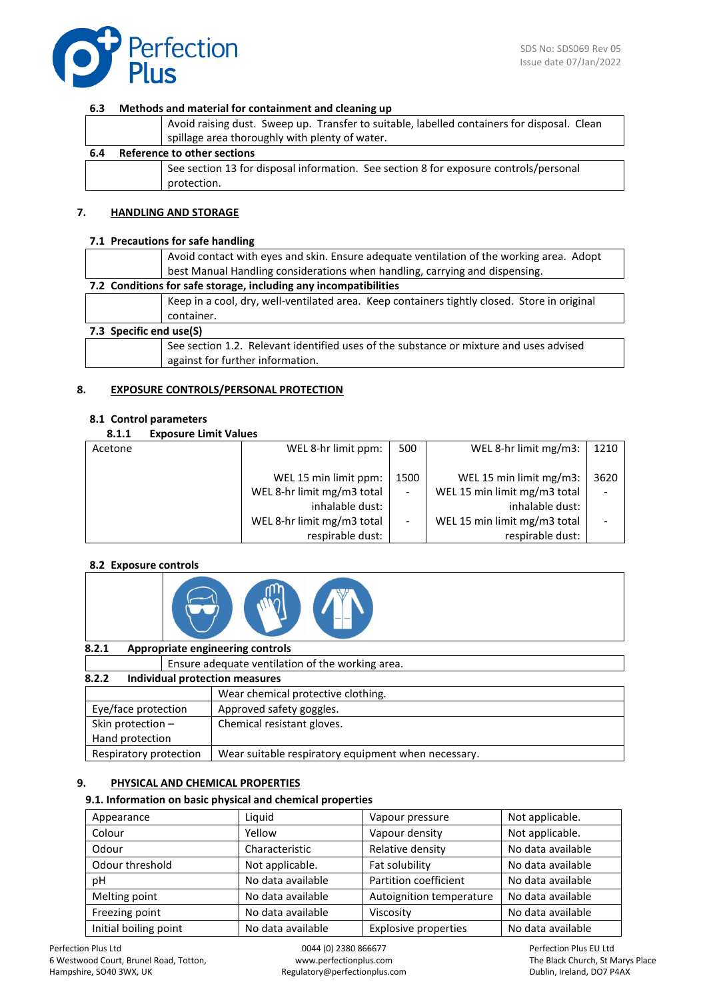

#### **6.3 Methods and material for containment and cleaning up**

|     | Avoid raising dust. Sweep up. Transfer to suitable, labelled containers for disposal. Clean |                                                                                       |  |  |
|-----|---------------------------------------------------------------------------------------------|---------------------------------------------------------------------------------------|--|--|
|     | spillage area thoroughly with plenty of water.                                              |                                                                                       |  |  |
| 6.4 | Reference to other sections                                                                 |                                                                                       |  |  |
|     |                                                                                             | See section 13 for disposal information. See section 8 for exposure controls/personal |  |  |
|     |                                                                                             | protection.                                                                           |  |  |

#### **7. HANDLING AND STORAGE**

#### **7.1 Precautions for safe handling**

|                                                                  | Avoid contact with eyes and skin. Ensure adequate ventilation of the working area. Adopt<br>best Manual Handling considerations when handling, carrying and dispensing. |  |  |
|------------------------------------------------------------------|-------------------------------------------------------------------------------------------------------------------------------------------------------------------------|--|--|
| 7.2 Conditions for safe storage, including any incompatibilities |                                                                                                                                                                         |  |  |
|                                                                  | Keep in a cool, dry, well-ventilated area. Keep containers tightly closed. Store in original                                                                            |  |  |
|                                                                  | container.                                                                                                                                                              |  |  |
| 7.3 Specific end use(S)                                          |                                                                                                                                                                         |  |  |
|                                                                  | See section 1.2. Relevant identified uses of the substance or mixture and uses advised<br>against for further information.                                              |  |  |

#### **8. EXPOSURE CONTROLS/PERSONAL PROTECTION**

#### **8.1 Control parameters**

#### **8.1.1 Exposure Limit Values**

| Acetone | WEL 8-hr limit ppm:        | 500                      | WEL 8-hr limit mg/m3:        | 1210 |
|---------|----------------------------|--------------------------|------------------------------|------|
|         |                            |                          |                              |      |
|         | WEL 15 min limit ppm:      | 1500                     | WEL 15 min limit mg/m3:      | 3620 |
|         | WEL 8-hr limit mg/m3 total | $\overline{\phantom{a}}$ | WEL 15 min limit mg/m3 total |      |
|         | inhalable dust:            |                          | inhalable dust:              |      |
|         | WEL 8-hr limit mg/m3 total |                          | WEL 15 min limit mg/m3 total |      |
|         | respirable dust:           |                          | respirable dust:             |      |

#### **8.2 Exposure controls**



#### **8.2.1 Appropriate engineering controls**

|                        | Ensure adequate ventilation of the working area.    |  |  |  |  |
|------------------------|-----------------------------------------------------|--|--|--|--|
| 8.2.2                  | Individual protection measures                      |  |  |  |  |
|                        | Wear chemical protective clothing.                  |  |  |  |  |
| Eye/face protection    | Approved safety goggles.                            |  |  |  |  |
| Skin protection -      | Chemical resistant gloves.                          |  |  |  |  |
| Hand protection        |                                                     |  |  |  |  |
| Respiratory protection | Wear suitable respiratory equipment when necessary. |  |  |  |  |

#### **9. PHYSICAL AND CHEMICAL PROPERTIES**

#### **9.1. Information on basic physical and chemical properties**

| Appearance            | Liquid            | Vapour pressure             | Not applicable.   |
|-----------------------|-------------------|-----------------------------|-------------------|
| Colour                | Yellow            | Vapour density              | Not applicable.   |
| Odour                 | Characteristic    | Relative density            | No data available |
| Odour threshold       | Not applicable.   | Fat solubility              | No data available |
| рH                    | No data available | Partition coefficient       | No data available |
| Melting point         | No data available | Autoignition temperature    | No data available |
| Freezing point        | No data available | Viscosity                   | No data available |
| Initial boiling point | No data available | <b>Explosive properties</b> | No data available |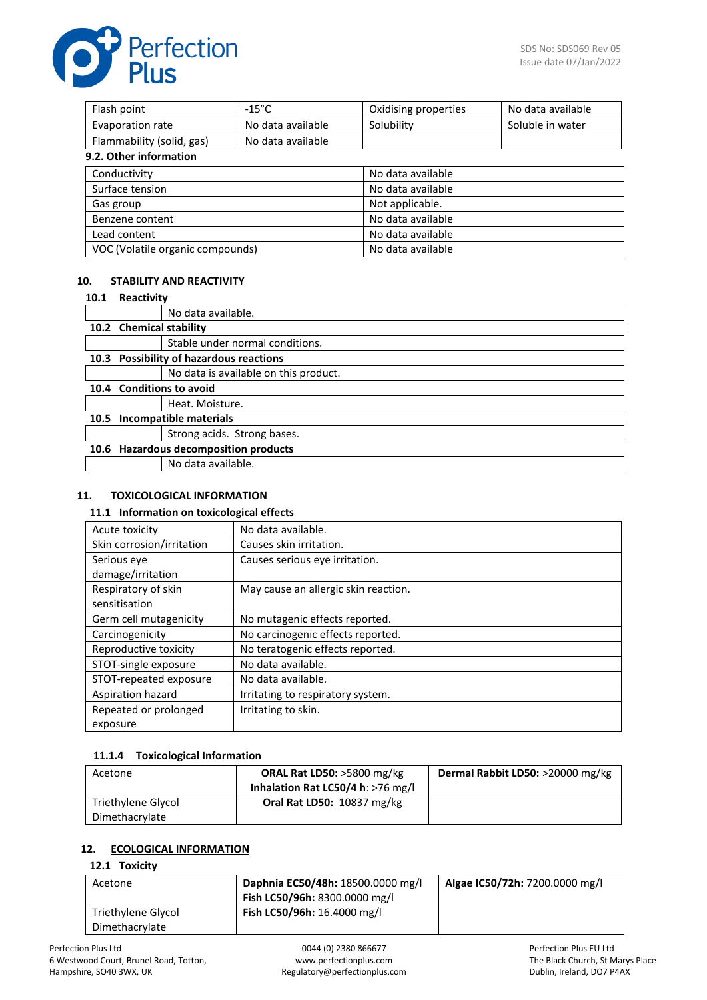

| Flash point                      | $-15^{\circ}$ C   | Oxidising properties | No data available |
|----------------------------------|-------------------|----------------------|-------------------|
| Evaporation rate                 | No data available | Solubility           | Soluble in water  |
| Flammability (solid, gas)        | No data available |                      |                   |
| 9.2. Other information           |                   |                      |                   |
| Conductivity                     |                   | No data available    |                   |
| Surface tension                  |                   | No data available    |                   |
| Gas group                        |                   | Not applicable.      |                   |
| Benzene content                  |                   | No data available    |                   |
| Lead content                     |                   | No data available    |                   |
| VOC (Volatile organic compounds) |                   | No data available    |                   |

# **10. STABILITY AND REACTIVITY**

#### **10.1 Reactivity**

|      |                                           | No data available.                    |  |
|------|-------------------------------------------|---------------------------------------|--|
|      | 10.2 Chemical stability                   |                                       |  |
|      |                                           | Stable under normal conditions.       |  |
| 10.3 | <b>Possibility of hazardous reactions</b> |                                       |  |
|      |                                           | No data is available on this product. |  |
|      | 10.4 Conditions to avoid                  |                                       |  |
|      |                                           | Heat. Moisture.                       |  |
| 10.5 | <b>Incompatible materials</b>             |                                       |  |
|      |                                           | Strong acids. Strong bases.           |  |
|      | 10.6 Hazardous decomposition products     |                                       |  |
|      |                                           | No data available.                    |  |

# **11. TOXICOLOGICAL INFORMATION**

#### **11.1 Information on toxicological effects**

| Acute toxicity            | No data available.                   |
|---------------------------|--------------------------------------|
| Skin corrosion/irritation | Causes skin irritation.              |
| Serious eye               | Causes serious eye irritation.       |
| damage/irritation         |                                      |
| Respiratory of skin       | May cause an allergic skin reaction. |
| sensitisation             |                                      |
| Germ cell mutagenicity    | No mutagenic effects reported.       |
| Carcinogenicity           | No carcinogenic effects reported.    |
| Reproductive toxicity     | No teratogenic effects reported.     |
| STOT-single exposure      | No data available.                   |
| STOT-repeated exposure    | No data available.                   |
| Aspiration hazard         | Irritating to respiratory system.    |
| Repeated or prolonged     | Irritating to skin.                  |
| exposure                  |                                      |

#### **11.1.4 Toxicological Information**

| Acetone            | <b>ORAL Rat LD50:</b> $>5800$ mg/kg<br>Inhalation Rat LC50/4 h: >76 mg/l | Dermal Rabbit LD50: >20000 mg/kg |
|--------------------|--------------------------------------------------------------------------|----------------------------------|
| Triethylene Glycol | <b>Oral Rat LD50: 10837 mg/kg</b>                                        |                                  |
| Dimethacrylate     |                                                                          |                                  |

## **12. ECOLOGICAL INFORMATION**

# **12.1 Toxicity**

| Acetone            | Daphnia EC50/48h: 18500.0000 mg/l | Algae IC50/72h: 7200.0000 mg/l |
|--------------------|-----------------------------------|--------------------------------|
|                    | Fish LC50/96h: 8300.0000 mg/l     |                                |
| Triethylene Glycol | Fish LC50/96h: 16.4000 mg/l       |                                |
| Dimethacrylate     |                                   |                                |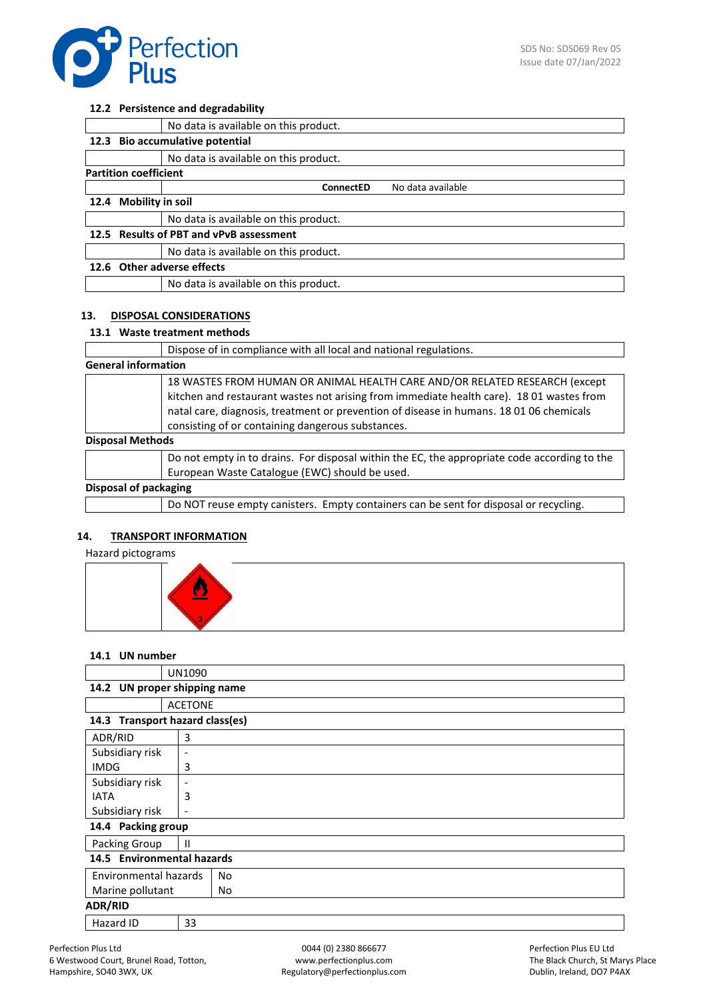

# **12.2 Persistence and degradability**

|                                         | No data is available on this product. |                   |
|-----------------------------------------|---------------------------------------|-------------------|
|                                         | 12.3 Bio accumulative potential       |                   |
|                                         | No data is available on this product. |                   |
| <b>Partition coefficient</b>            |                                       |                   |
|                                         | ConnectED                             | No data available |
| 12.4 Mobility in soil                   |                                       |                   |
|                                         | No data is available on this product. |                   |
| 12.5 Results of PBT and vPvB assessment |                                       |                   |
|                                         | No data is available on this product. |                   |
| 12.6 Other adverse effects              |                                       |                   |
|                                         | No data is available on this product. |                   |
|                                         |                                       |                   |

#### **13. DISPOSAL CONSIDERATIONS**

#### **13.1 Waste treatment methods**

|                              | Dispose of in compliance with all local and national regulations.                                                                                                                                                                                                                                                      |
|------------------------------|------------------------------------------------------------------------------------------------------------------------------------------------------------------------------------------------------------------------------------------------------------------------------------------------------------------------|
|                              | <b>General information</b>                                                                                                                                                                                                                                                                                             |
|                              | 18 WASTES FROM HUMAN OR ANIMAL HEALTH CARE AND/OR RELATED RESEARCH (except<br>kitchen and restaurant wastes not arising from immediate health care). 18 01 wastes from<br>natal care, diagnosis, treatment or prevention of disease in humans. 18 01 06 chemicals<br>consisting of or containing dangerous substances. |
| <b>Disposal Methods</b>      |                                                                                                                                                                                                                                                                                                                        |
|                              | Do not empty in to drains. For disposal within the EC, the appropriate code according to the<br>European Waste Catalogue (EWC) should be used.                                                                                                                                                                         |
| <b>Disposal of packaging</b> |                                                                                                                                                                                                                                                                                                                        |
|                              | Do NOT reuse empty canisters. Empty containers can be sent for disposal or recycling.                                                                                                                                                                                                                                  |

#### **14. TRANSPORT INFORMATION**

# Hazard pictograms



# **14.1 UN number**

|                            | UN1090                          |     |  |
|----------------------------|---------------------------------|-----|--|
|                            | 14.2 UN proper shipping name    |     |  |
|                            | <b>ACETONE</b>                  |     |  |
|                            | 14.3 Transport hazard class(es) |     |  |
| ADR/RID                    | 3                               |     |  |
| Subsidiary risk            | $\overline{\phantom{a}}$        |     |  |
| <b>IMDG</b>                | 3                               |     |  |
| Subsidiary risk            | $\overline{\phantom{a}}$        |     |  |
| <b>IATA</b>                | 3                               |     |  |
| Subsidiary risk            | $\overline{\phantom{a}}$        |     |  |
| 14.4 Packing group         |                                 |     |  |
| Packing Group              | $\mathbf{H}$                    |     |  |
| 14.5 Environmental hazards |                                 |     |  |
| Environmental hazards      |                                 | No  |  |
| Marine pollutant           |                                 | No. |  |
| <b>ADR/RID</b>             |                                 |     |  |
| Hazard ID                  | 33                              |     |  |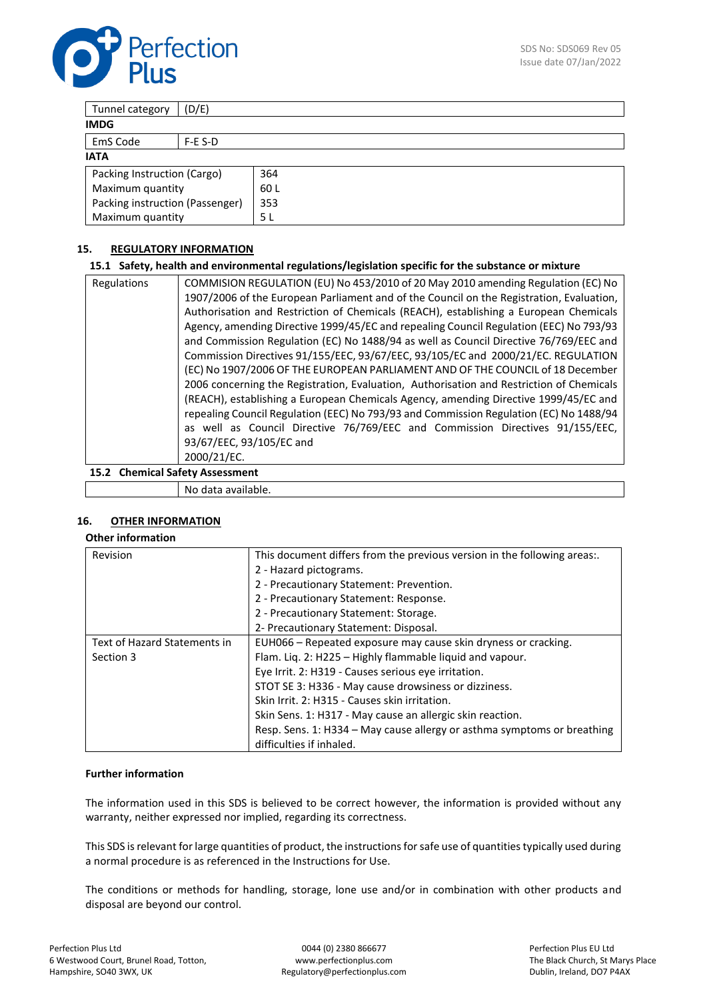

| (D/E)<br>Tunnel category        |      |  |
|---------------------------------|------|--|
| <b>IMDG</b>                     |      |  |
| EmS Code<br>$F-E S-D$           |      |  |
| <b>IATA</b>                     |      |  |
| Packing Instruction (Cargo)     | 364  |  |
| Maximum quantity                | 60 L |  |
| Packing instruction (Passenger) | 353  |  |
| Maximum quantity                | 5 L  |  |

# **15. REGULATORY INFORMATION**

#### **15.1 Safety, health and environmental regulations/legislation specific for the substance or mixture**

| Regulations | COMMISION REGULATION (EU) No 453/2010 of 20 May 2010 amending Regulation (EC) No         |
|-------------|------------------------------------------------------------------------------------------|
|             | 1907/2006 of the European Parliament and of the Council on the Registration, Evaluation, |
|             | Authorisation and Restriction of Chemicals (REACH), establishing a European Chemicals    |
|             | Agency, amending Directive 1999/45/EC and repealing Council Regulation (EEC) No 793/93   |
|             | and Commission Regulation (EC) No 1488/94 as well as Council Directive 76/769/EEC and    |
|             | Commission Directives 91/155/EEC, 93/67/EEC, 93/105/EC and 2000/21/EC. REGULATION        |
|             | (EC) No 1907/2006 OF THE EUROPEAN PARLIAMENT AND OF THE COUNCIL of 18 December           |
|             | 2006 concerning the Registration, Evaluation, Authorisation and Restriction of Chemicals |
|             | (REACH), establishing a European Chemicals Agency, amending Directive 1999/45/EC and     |
|             | repealing Council Regulation (EEC) No 793/93 and Commission Regulation (EC) No 1488/94   |
|             | as well as Council Directive 76/769/EEC and Commission Directives 91/155/EEC,            |
|             | 93/67/EEC, 93/105/EC and                                                                 |
|             | 2000/21/EC.                                                                              |

**15.2 Chemical Safety Assessment**

No data available.

# **16. OTHER INFORMATION**

# **Other information**

| Revision                     | This document differs from the previous version in the following areas:. |  |
|------------------------------|--------------------------------------------------------------------------|--|
|                              | 2 - Hazard pictograms.                                                   |  |
|                              | 2 - Precautionary Statement: Prevention.                                 |  |
|                              | 2 - Precautionary Statement: Response.                                   |  |
|                              | 2 - Precautionary Statement: Storage.                                    |  |
|                              | 2- Precautionary Statement: Disposal.                                    |  |
| Text of Hazard Statements in | EUH066 - Repeated exposure may cause skin dryness or cracking.           |  |
| Section 3                    | Flam. Liq. 2: H225 - Highly flammable liquid and vapour.                 |  |
|                              | Eye Irrit. 2: H319 - Causes serious eye irritation.                      |  |
|                              | STOT SE 3: H336 - May cause drowsiness or dizziness.                     |  |
|                              | Skin Irrit. 2: H315 - Causes skin irritation.                            |  |
|                              | Skin Sens. 1: H317 - May cause an allergic skin reaction.                |  |
|                              | Resp. Sens. 1: H334 – May cause allergy or asthma symptoms or breathing  |  |
|                              | difficulties if inhaled.                                                 |  |

#### **Further information**

The information used in this SDS is believed to be correct however, the information is provided without any warranty, neither expressed nor implied, regarding its correctness.

This SDS is relevant for large quantities of product, the instructions for safe use of quantities typically used during a normal procedure is as referenced in the Instructions for Use.

The conditions or methods for handling, storage, lone use and/or in combination with other products and disposal are beyond our control.